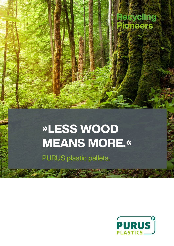

# »LESS WOOD MEANS MORE.«

PURUS plastic pallets.

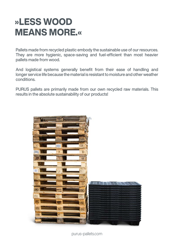# »LESS WOOD **MEANS MORE.«**

Pallets made from recycled plastic embody the sustainable use of our resources. They are more hygienic, space-saving and fuel-efficient than most heavier pallets made from wood.

And logistical systems generally benefit from their ease of handling and longer service life because the material is resistant to moisture and other weather conditions.

PURUS pallets are primarily made from our own recycled raw materials. This results in the absolute sustainability of our products!



purus-pallets.com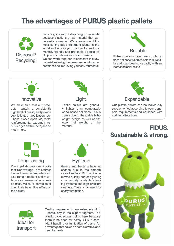## The advantages of PURUS plastic pallets



Recycling instead of disposing of materials because plastic is a raw material that can be easily conserved. We operate one of the most cutting-edge treatment plants in the world and acts as your partner for environmentally-friendly and profitable disposal of old plastic containers and load carriers. We can work together to conserve this raw material, relieving the pressure on future generations and improving your environmental.



Unlike solutions using wood, plastic does not absorb liquids or lose durability and load-bearing capacity with an increased service life.



We make sure that our products maintain a consistently high level of quality and provide sophisticated application solutions: closed/open lids, metal reinforcements, extremely robust edges and runners, and so much more.



Plastic pallets are generally lighter than comparable wood-based solutions. This is mainly due to the stable lightweight design as well as the lower net weight of the material.



Our plastic pallets can be individually supplemented according to your transport requirements and equipped with additional functions.

#### FIDUS. Sustainable & strong.



Plastic pallets have a service life that is on average up to 10 times longer than wooden pallets and also remain resilient and maintenance-free even after repeated uses. Moisture, corrosion or chemicals have little effect on the pallets.



Germs and bacteria have no chance due to the smooth, closed surface. Dirt can be removed quickly and easily using commercially available cleaning systems and high-pressure cleaners. There is no need for costly fumigation.



Quality requirements are extremely high - particularly in the export segment. The plastic pallet scores points here because there is no need for costly ISPM15-compliant handling or fumigation of pests. An advantage that saves on administrative and handling costs.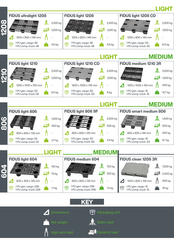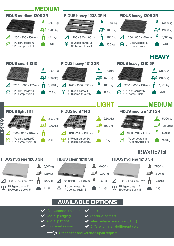